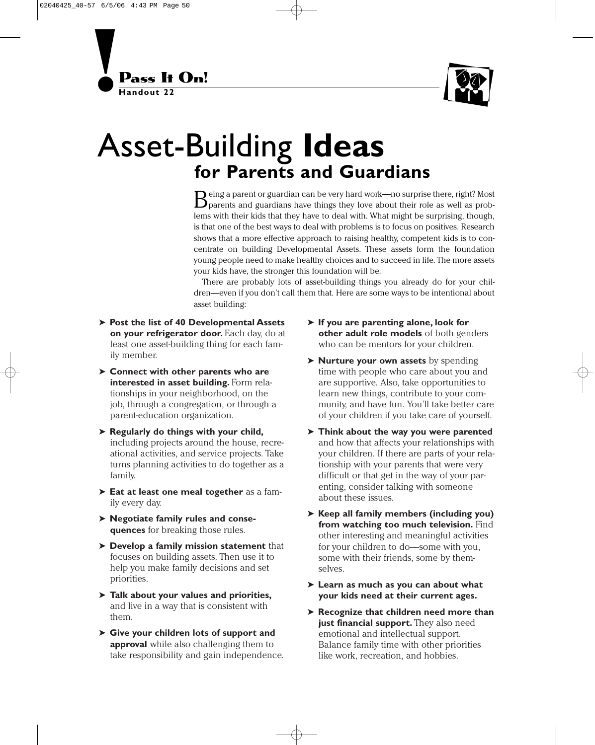



## Asset-Building **Ideas for Parents and Guardians**

Being a parent or guardian can be very hard work—no surprise there, right? Most<br>parents and guardians have things they love about their role as well as problems with their kids that they have to deal with. What might be surprising, though, is that one of the best ways to deal with problems is to focus on positives. Research shows that a more effective approach to raising healthy, competent kids is to concentrate on building Developmental Assets. These assets form the foundation young people need to make healthy choices and to succeed in life. The more assets your kids have, the stronger this foundation will be.

There are probably lots of asset-building things you already do for your children—even if you don't call them that. Here are some ways to be intentional about asset building:

- ➤ **Post the list of 40 Developmental Assets on your refrigerator door.** Each day, do at least one asset-building thing for each family member.
- ➤ **Connect with other parents who are interested in asset building.** Form relationships in your neighborhood, on the job, through a congregation, or through a parent-education organization.
- ➤ **Regularly do things with your child,** including projects around the house, recreational activities, and service projects. Take turns planning activities to do together as a family.
- ➤ **Eat at least one meal together** as a family every day.
- ➤ **Negotiate family rules and consequences** for breaking those rules.
- ➤ **Develop a family mission statement** that focuses on building assets. Then use it to help you make family decisions and set priorities.
- ➤ **Talk about your values and priorities,** and live in a way that is consistent with them.
- ➤ **Give your children lots of support and approval** while also challenging them to take responsibility and gain independence.
- ➤ **If you are parenting alone, look for other adult role models** of both genders who can be mentors for your children.
- ➤ **Nurture your own assets** by spending time with people who care about you and are supportive. Also, take opportunities to learn new things, contribute to your community, and have fun. You'll take better care of your children if you take care of yourself.
- ➤ **Think about the way you were parented** and how that affects your relationships with your children. If there are parts of your relationship with your parents that were very difficult or that get in the way of your parenting, consider talking with someone about these issues.
- ➤ **Keep all family members (including you) from watching too much television.** Find other interesting and meaningful activities for your children to do—some with you, some with their friends, some by themselves.
- ➤ **Learn as much as you can about what your kids need at their current ages.**
- ➤ **Recognize that children need more than just financial support.** They also need emotional and intellectual support. Balance family time with other priorities like work, recreation, and hobbies.